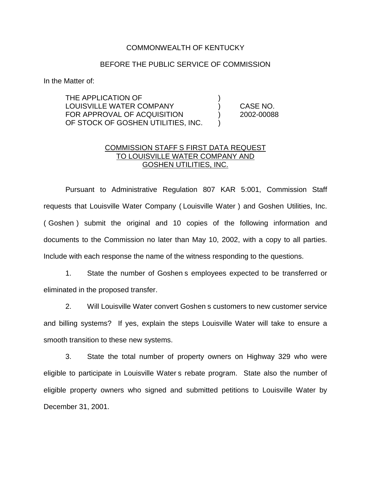## COMMONWEALTH OF KENTUCKY

## BEFORE THE PUBLIC SERVICE OF COMMISSION

In the Matter of:

THE APPLICATION OF LOUISVILLE WATER COMPANY ) CASE NO. FOR APPROVAL OF ACQUISITION (2002-00088) OF STOCK OF GOSHEN UTILITIES, INC.

## COMMISSION STAFF S FIRST DATA REQUEST TO LOUISVILLE WATER COMPANY AND GOSHEN UTILITIES, INC.

Pursuant to Administrative Regulation 807 KAR 5:001, Commission Staff requests that Louisville Water Company ( Louisville Water ) and Goshen Utilities, Inc. ( Goshen ) submit the original and 10 copies of the following information and documents to the Commission no later than May 10, 2002, with a copy to all parties. Include with each response the name of the witness responding to the questions.

1. State the number of Goshen s employees expected to be transferred or eliminated in the proposed transfer.

2. Will Louisville Water convert Goshen s customers to new customer service and billing systems? If yes, explain the steps Louisville Water will take to ensure a smooth transition to these new systems.

3. State the total number of property owners on Highway 329 who were eligible to participate in Louisville Water s rebate program. State also the number of eligible property owners who signed and submitted petitions to Louisville Water by December 31, 2001.